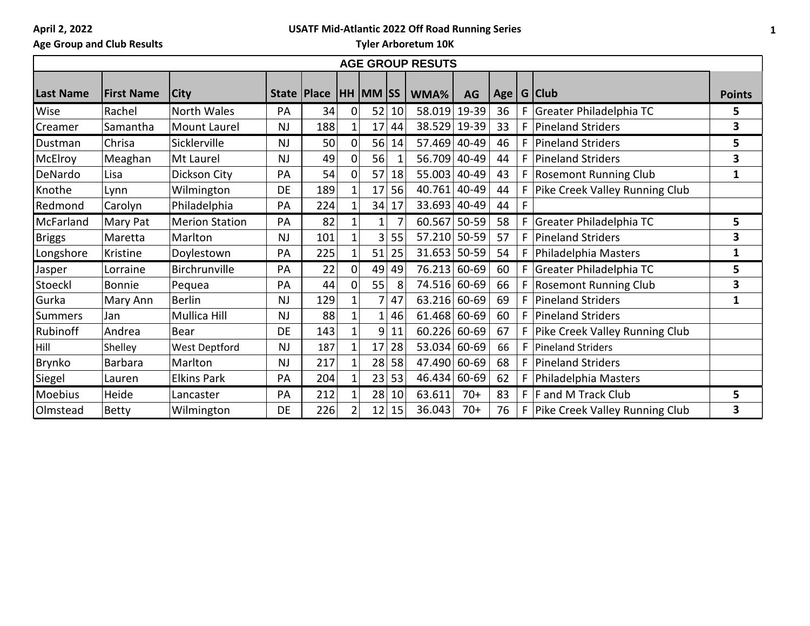# **USATF Mid-Atlantic 2022 Off Road Running Series**

# **Age Group and Club Results**

| <b>AGE GROUP RESUTS</b> |                   |                       |           |                              |          |                |    |                |       |                |              |                                    |               |
|-------------------------|-------------------|-----------------------|-----------|------------------------------|----------|----------------|----|----------------|-------|----------------|--------------|------------------------------------|---------------|
| <b>Last Name</b>        | <b>First Name</b> | <b>City</b>           |           | State   Place   HH   MM   SS |          |                |    | WMA%           | AG    | Age   G   Club |              |                                    | <b>Points</b> |
| Wise                    | Rachel            | North Wales           | PA        | 34                           |          | 52             | 10 | 58.019         | 19-39 | 36             | $\mathsf{F}$ | Greater Philadelphia TC            | 5             |
| Creamer                 | Samantha          | Mount Laurel          | <b>NJ</b> | 188                          |          | 17             | 44 | 38.529         | 19-39 | 33             | F.           | <b>Pineland Striders</b>           | 3             |
| Dustman                 | Chrisa            | Sicklerville          | <b>NJ</b> | 50                           | $\Omega$ | 56             | 14 | 57.469         | 40-49 | 46             | F.           | Pineland Striders                  | 5             |
| McElroy                 | Meaghan           | Mt Laurel             | <b>NJ</b> | 49                           | $\Omega$ | 56             |    | 56.709 40-49   |       | 44             | F.           | Pineland Striders                  | 3             |
| DeNardo                 | Lisa              | Dickson City          | PA        | 54                           |          | 57             | 18 | 55.003         | 40-49 | 43             |              | F Rosemont Running Club            | 1             |
| Knothe                  | Lynn              | Wilmington            | <b>DE</b> | 189                          |          | 17             | 56 | 40.761         | 40-49 | 44             |              | F Pike Creek Valley Running Club   |               |
| Redmond                 | Carolyn           | Philadelphia          | PA        | 224                          |          | 34             | 17 | 33.693 40-49   |       | 44             | F            |                                    |               |
| McFarland               | Mary Pat          | <b>Merion Station</b> | PA        | 82                           |          | $\mathbf{1}$   |    | 60.567         | 50-59 | 58             | F.           | Greater Philadelphia TC            | 5             |
| <b>Briggs</b>           | Maretta           | Marlton               | <b>NJ</b> | 101                          |          | 3 <sub>l</sub> | 55 | 57.210 50-59   |       | 57             | F.           | Pineland Striders                  | 3             |
| Longshore               | Kristine          | Doylestown            | PA        | 225                          |          | 51             | 25 | $31.653$ 50-59 |       | 54             | F.           | Philadelphia Masters               | 1             |
| Jasper                  | Lorraine          | Birchrunville         | PA        | 22                           | 0        | 49             | 49 | 76.213         | 60-69 | 60             | F.           | Greater Philadelphia TC            | 5             |
| Stoeckl                 | <b>Bonnie</b>     | Pequea                | PA        | 44                           |          | 55             | 8  | 74.516 60-69   |       | 66             |              | F Rosemont Running Club            | 3             |
| Gurka                   | Mary Ann          | <b>Berlin</b>         | <b>NJ</b> | 129                          |          | 7              | 47 | 63.216         | 60-69 | 69             | F.           | Pineland Striders                  | 1             |
| <b>Summers</b>          | Jan               | Mullica Hill          | <b>NJ</b> | 88                           |          | 1              | 46 | $61.468$ 60-69 |       | 60             |              | F   Pineland Striders              |               |
| Rubinoff                | Andrea            | Bear                  | <b>DE</b> | 143                          |          | 9              | 11 | 60.226         | 60-69 | 67             |              | F Pike Creek Valley Running Club   |               |
| Hill                    | Shelley           | <b>West Deptford</b>  | <b>NJ</b> | 187                          |          | 17             | 28 | 53.034         | 60-69 | 66             |              | F   Pineland Striders              |               |
| Brynko                  | <b>Barbara</b>    | Marlton               | <b>NJ</b> | 217                          |          | 28             | 58 | 47.490         | 60-69 | 68             | F.           | Pineland Striders                  |               |
| Siegel                  | Lauren            | <b>Elkins Park</b>    | PA        | 204                          |          | 23             | 53 | 46.434         | 60-69 | 62             | F.           | Philadelphia Masters               |               |
| Moebius                 | Heide             | Lancaster             | PA        | 212                          |          | 28             | 10 | 63.611         | $70+$ | 83             |              | $F$ F and M Track Club             | 5             |
| Olmstead                | <b>Betty</b>      | Wilmington            | DE        | 226                          |          | 12             | 15 | 36.043         | $70+$ | 76             |              | F   Pike Creek Valley Running Club | 3             |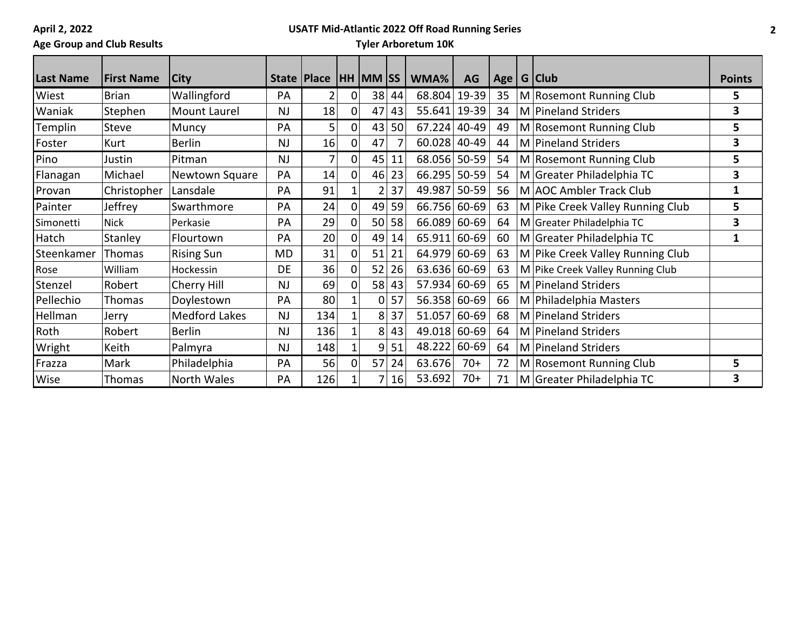# **Age Group and Club Results**

### **USATF Mid-Atlantic 2022 Off Road Running Series**

| <b>Last Name</b> | <b>First Name</b> | <b>City</b>          |           | State   Place  |          | <b>HH MM SS</b> |    | WMA%           | AG        | Age | $G$ Club                         | <b>Points</b> |
|------------------|-------------------|----------------------|-----------|----------------|----------|-----------------|----|----------------|-----------|-----|----------------------------------|---------------|
| Wiest            | <b>Brian</b>      | Wallingford          | PA        | $\overline{2}$ | 01       | 38              | 44 | 68.804         | $19-39$   | 35  | M Rosemont Running Club          | 5             |
| Waniak           | Stephen           | Mount Laurel         | <b>NJ</b> | 18             | 0        | 47              | 43 | 55.641 19-39   |           | 34  | M Pineland Striders              | 3             |
| Templin          | <b>Steve</b>      | Muncy                | PA        | 5              | 0        | 43              | 50 | 67.224         | 40-49     | 49  | M Rosemont Running Club          | 5             |
| Foster           | Kurt              | <b>Berlin</b>        | NJ        | 16             | 01       | 47              |    | $60.028$ 40-49 |           | 44  | M Pineland Striders              | 3             |
| Pino             | Justin            | Pitman               | <b>NJ</b> |                | 0        | 45              | 11 | 68.056 50-59   |           | 54  | M Rosemont Running Club          | 5             |
| Flanagan         | Michael           | Newtown Square       | PA        | 14             | 01       | 46              | 23 | 66.295         | $50 - 59$ | 54  | M Greater Philadelphia TC        | 3             |
| Provan           | Christopher       | Lansdale             | PA        | 91             |          | $\overline{2}$  | 37 | 49.987 50-59   |           | 56  | M AOC Ambler Track Club          | 1             |
| Painter          | Jeffrey           | Swarthmore           | PA        | 24             | 0        | 49              | 59 | 66.756         | 60-69     | 63  | M Pike Creek Valley Running Club | 5             |
| Simonetti        | <b>Nick</b>       | Perkasie             | PA        | 29             | 01       | 50              | 58 | 66.089         | 60-69     | 64  | M Greater Philadelphia TC        | 3             |
| Hatch            | Stanley           | Flourtown            | PA        | 20             | $\Omega$ | 49              | 14 | 65.911         | 60-69     | 60  | M Greater Philadelphia TC        | 1             |
| Steenkamer       | Thomas            | <b>Rising Sun</b>    | <b>MD</b> | 31             | οl       | 51              | 21 | 64.979         | 60-69     | 63  | M Pike Creek Valley Running Club |               |
| Rose             | William           | Hockessin            | <b>DE</b> | 36             | Ωl       | 52              | 26 | 63.636         | 60-69     | 63  | M Pike Creek Valley Running Club |               |
| Stenzel          | Robert            | Cherry Hill          | <b>NJ</b> | 69             | 01       | 58              | 43 | 57.934         | 60-69     | 65  | M Pineland Striders              |               |
| Pellechio        | Thomas            | Doylestown           | PA        | 80             |          | 0               | 57 | 56.358         | 60-69     | 66  | M Philadelphia Masters           |               |
| Hellman          | Jerry             | <b>Medford Lakes</b> | <b>NJ</b> | 134            |          | 8               | 37 | 51.057         | 60-69     | 68  | M Pineland Striders              |               |
| Roth             | Robert            | <b>Berlin</b>        | <b>NJ</b> | 136            |          | 8               | 43 | 49.018         | 60-69     | 64  | M Pineland Striders              |               |
| Wright           | Keith             | Palmyra              | NJ        | 148            |          | 9               | 51 | 48.222 60-69   |           | 64  | M Pineland Striders              |               |
| Frazza           | Mark              | Philadelphia         | PA        | 56             | 01       | 57              | 24 | 63.676         | $70+$     | 72  | M Rosemont Running Club          | 5             |
| Wise             | Thomas            | <b>North Wales</b>   | PA        | 126            |          |                 | 16 | 53.692         | $70+$     | 71  | M Greater Philadelphia TC        | 3             |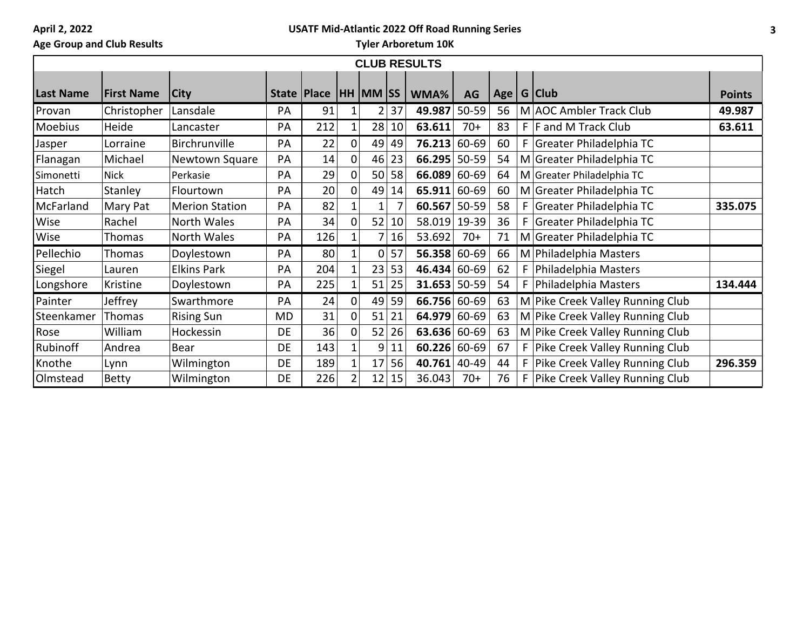### **USATF Mid-Atlantic 2022 Off Road Running Series**

# **Age Group and Club Results**

| <b>CLUB RESULTS</b> |                   |                       |               |     |          |                 |    |        |       |     |  |                                  |               |
|---------------------|-------------------|-----------------------|---------------|-----|----------|-----------------|----|--------|-------|-----|--|----------------------------------|---------------|
| <b>Last Name</b>    | <b>First Name</b> | <b>City</b>           | State   Place |     |          | <b>HH MM SS</b> |    | WMA%   | AG    | Age |  | G Club                           | <b>Points</b> |
| Provan              | Christopher       | Lansdale              | PA            | 91  |          | 2               | 37 | 49.987 | 50-59 | 56  |  | M AOC Ambler Track Club          | 49.987        |
| Moebius             | Heide             | Lancaster             | PA            | 212 |          | 28              | 10 | 63.611 | $70+$ | 83  |  | F  F and M Track Club            | 63.611        |
| Jasper              | Lorraine          | Birchrunville         | PA            | 22  | 0        | 49              | 49 | 76.213 | 60-69 | 60  |  | F Greater Philadelphia TC        |               |
| Flanagan            | Michael           | Newtown Square        | PA            | 14  | O        | 46              | 23 | 66.295 | 50-59 | 54  |  | M Greater Philadelphia TC        |               |
| Simonetti           | <b>Nick</b>       | Perkasie              | PA            | 29  | 0        | 50              | 58 | 66.089 | 60-69 | 64  |  | M Greater Philadelphia TC        |               |
| Hatch               | Stanley           | Flourtown             | PA            | 20  | $\Omega$ | 49              | 14 | 65.911 | 60-69 | 60  |  | M Greater Philadelphia TC        |               |
| McFarland           | Mary Pat          | <b>Merion Station</b> | PA            | 82  |          | 1               |    | 60.567 | 50-59 | 58  |  | F Greater Philadelphia TC        | 335.075       |
| Wise                | Rachel            | North Wales           | PA            | 34  | O        | 52              | 10 | 58.019 | 19-39 | 36  |  | F Greater Philadelphia TC        |               |
| Wise                | Thomas            | North Wales           | PA            | 126 |          | 7               | 16 | 53.692 | $70+$ | 71  |  | M Greater Philadelphia TC        |               |
| Pellechio           | Thomas            | Doylestown            | PA            | 80  |          | 0               | 57 | 56.358 | 60-69 | 66  |  | M Philadelphia Masters           |               |
| Siegel              | Lauren            | <b>Elkins Park</b>    | PA            | 204 |          | 23              | 53 | 46.434 | 60-69 | 62  |  | F   Philadelphia Masters         |               |
| Longshore           | Kristine          | Doylestown            | PA            | 225 |          | 51              | 25 | 31.653 | 50-59 | 54  |  | F   Philadelphia Masters         | 134.444       |
| Painter             | Jeffrey           | Swarthmore            | PA            | 24  | $\Omega$ | 49              | 59 | 66.756 | 60-69 | 63  |  | M Pike Creek Valley Running Club |               |
| Steenkamer          | Thomas            | <b>Rising Sun</b>     | MD            | 31  | $\Omega$ | 51              | 21 | 64.979 | 60-69 | 63  |  | M Pike Creek Valley Running Club |               |
| Rose                | William           | Hockessin             | DE            | 36  | 0        | 52              | 26 | 63.636 | 60-69 | 63  |  | M Pike Creek Valley Running Club |               |
| Rubinoff            | Andrea            | Bear                  | DE            | 143 |          | 9               | 11 | 60.226 | 60-69 | 67  |  | F Pike Creek Valley Running Club |               |
| Knothe              | Lynn              | Wilmington            | DE            | 189 |          | 17              | 56 | 40.761 | 40-49 | 44  |  | F Pike Creek Valley Running Club | 296.359       |
| Olmstead            | Betty             | Wilmington            | DE            | 226 |          | 12              | 15 | 36.043 | $70+$ | 76  |  | F Pike Creek Valley Running Club |               |